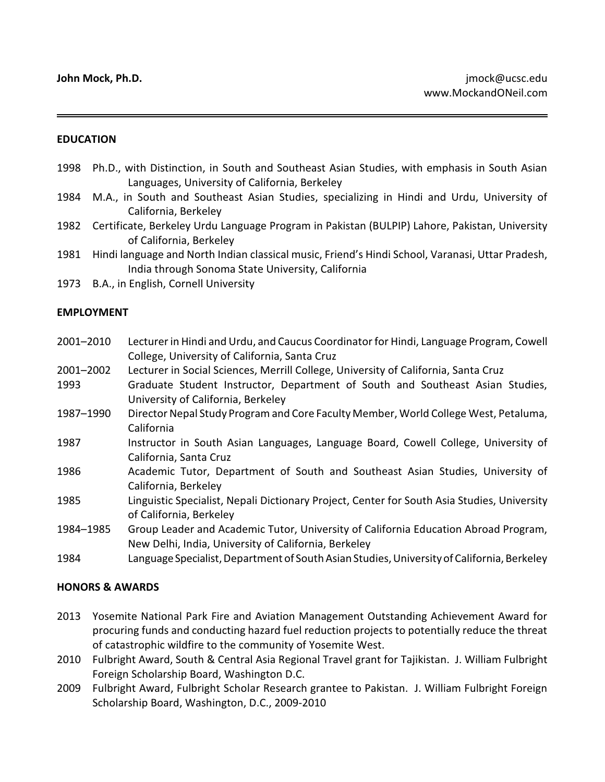## **EDUCATION**

- 1998 Ph.D., with Distinction, in South and Southeast Asian Studies, with emphasis in South Asian Languages, University of California, Berkeley
- 1984 M.A., in South and Southeast Asian Studies, specializing in Hindi and Urdu, University of California, Berkeley
- 1982 Certificate, Berkeley Urdu Language Program in Pakistan (BULPIP) Lahore, Pakistan, University of California, Berkeley
- 1981 Hindi language and North Indian classical music, Friend's Hindi School, Varanasi, Uttar Pradesh, India through Sonoma State University, California
- 1973 B.A., in English, Cornell University

### **EMPLOYMENT**

- 2001–2010 Lecturer in Hindi and Urdu, and Caucus Coordinator for Hindi, Language Program, Cowell College, University of California, Santa Cruz 2001–2002 Lecturer in Social Sciences, Merrill College, University of California, Santa Cruz
- 1993 Graduate Student Instructor, Department of South and Southeast Asian Studies, University of California, Berkeley
- 1987–1990 Director Nepal Study Program and Core Faculty Member, World College West, Petaluma, California
- 1987 Instructor in South Asian Languages, Language Board, Cowell College, University of California, Santa Cruz
- 1986 Academic Tutor, Department of South and Southeast Asian Studies, University of California, Berkeley
- 1985 Linguistic Specialist, Nepali Dictionary Project, Center for South Asia Studies, University of California, Berkeley
- 1984–1985 Group Leader and Academic Tutor, University of California Education Abroad Program, New Delhi, India, University of California, Berkeley
- 1984 LanguageSpecialist, Department of SouthAsian Studies, University ofCalifornia, Berkeley

#### **HONORS & AWARDS**

- 2013 Yosemite National Park Fire and Aviation Management Outstanding Achievement Award for procuring funds and conducting hazard fuel reduction projects to potentially reduce the threat of catastrophic wildfire to the community of Yosemite West.
- 2010 Fulbright Award, South & Central Asia Regional Travel grant for Tajikistan. J. William Fulbright Foreign Scholarship Board, Washington D.C.
- 2009 Fulbright Award, Fulbright Scholar Research grantee to Pakistan. J. William Fulbright Foreign Scholarship Board, Washington, D.C., 2009-2010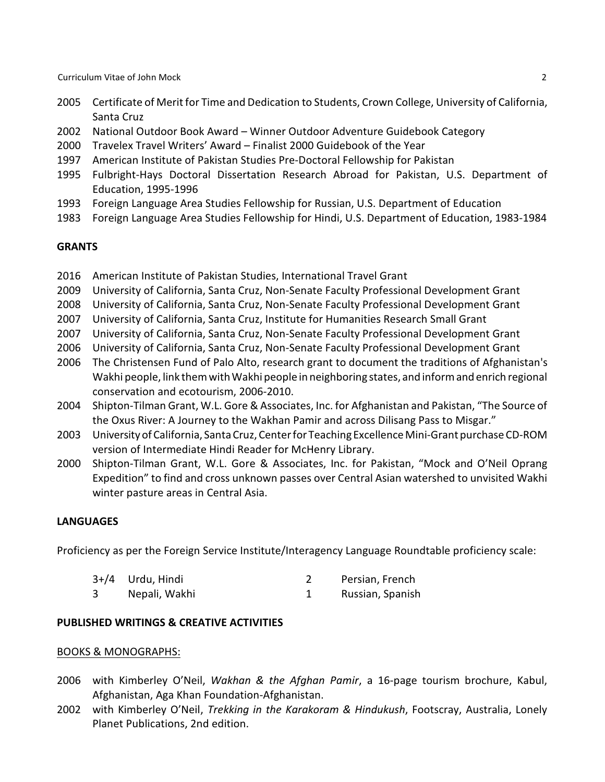Curriculum Vitae of John Mock 2

- 2005 Certificate of Merit for Time and Dedication to Students, Crown College, University of California, Santa Cruz
- 2002 National Outdoor Book Award Winner Outdoor Adventure Guidebook Category
- 2000 Travelex Travel Writers' Award Finalist 2000 Guidebook of the Year
- 1997 American Institute of Pakistan Studies Pre-Doctoral Fellowship for Pakistan
- 1995 Fulbright-Hays Doctoral Dissertation Research Abroad for Pakistan, U.S. Department of Education, 1995-1996
- 1993 Foreign Language Area Studies Fellowship for Russian, U.S. Department of Education
- 1983 Foreign Language Area Studies Fellowship for Hindi, U.S. Department of Education, 1983-1984

## **GRANTS**

- 2016 American Institute of Pakistan Studies, International Travel Grant
- 2009 University of California, Santa Cruz, Non-Senate Faculty Professional Development Grant
- 2008 University of California, Santa Cruz, Non-Senate Faculty Professional Development Grant
- 2007 University of California, Santa Cruz, Institute for Humanities Research Small Grant
- 2007 University of California, Santa Cruz, Non-Senate Faculty Professional Development Grant
- 2006 University of California, Santa Cruz, Non-Senate Faculty Professional Development Grant
- 2006 The Christensen Fund of Palo Alto, research grant to document the traditions of Afghanistan's Wakhi people, link them with Wakhi people in neighboring states, and inform andenrich regional conservation and ecotourism, 2006-2010.
- 2004 Shipton-Tilman Grant, W.L. Gore & Associates, Inc. for Afghanistan and Pakistan, "The Source of the Oxus River: A Journey to the Wakhan Pamir and across Dilisang Pass to Misgar."
- 2003 University of California, Santa Cruz, Center for Teaching Excellence Mini-Grant purchase CD-ROM version of Intermediate Hindi Reader for McHenry Library.
- 2000 Shipton-Tilman Grant, W.L. Gore & Associates, Inc. for Pakistan, "Mock and O'Neil Oprang Expedition" to find and cross unknown passes over Central Asian watershed to unvisited Wakhi winter pasture areas in Central Asia.

# **LANGUAGES**

Proficiency as per the Foreign Service Institute/Interagency Language Roundtable proficiency scale:

| 3+/4 Urdu, Hindi | Persian, French  |
|------------------|------------------|
| Nepali, Wakhi    | Russian, Spanish |

## **PUBLISHED WRITINGS & CREATIVE ACTIVITIES**

#### BOOKS & MONOGRAPHS:

- 2006 with Kimberley O'Neil, *Wakhan & the Afghan Pamir*, a 16-page tourism brochure, Kabul, Afghanistan, Aga Khan Foundation-Afghanistan.
- 2002 with Kimberley O'Neil, *Trekking in the Karakoram & Hindukush*, Footscray, Australia, Lonely Planet Publications, 2nd edition.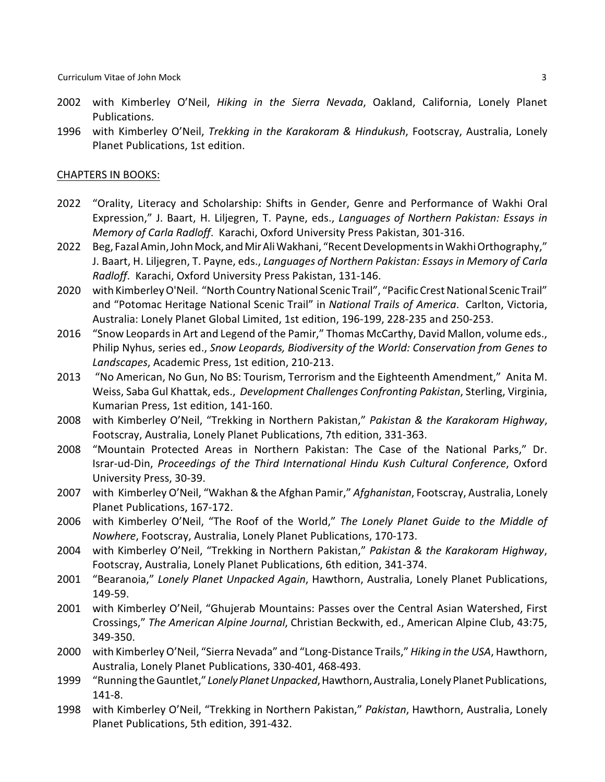- 2002 with Kimberley O'Neil, *Hiking in the Sierra Nevada*, Oakland, California, Lonely Planet Publications.
- 1996 with Kimberley O'Neil, *Trekking in the Karakoram & Hindukush*, Footscray, Australia, Lonely Planet Publications, 1st edition.

#### CHAPTERS IN BOOKS:

- 2022 "Orality, Literacy and Scholarship: Shifts in Gender, Genre and Performance of Wakhi Oral Expression," J. Baart, H. Liljegren, T. Payne, eds., *Languages of Northern Pakistan: Essays in Memory of Carla Radloff*. Karachi, Oxford University Press Pakistan, 301-316.
- 2022 Beg, Fazal Amin, JohnMock,andMirAliWakhani, "RecentDevelopments inWakhi Orthography," J. Baart, H. Liljegren, T. Payne, eds., *Languages of Northern Pakistan: Essays in Memory of Carla Radloff*. Karachi, Oxford University Press Pakistan, 131-146.
- 2020 with Kimberley O'Neil. "North Country National Scenic Trail", "Pacific Crest National Scenic Trail" and "Potomac Heritage National Scenic Trail" in *National Trails of America*. Carlton, Victoria, Australia: Lonely Planet Global Limited, 1st edition, 196-199, 228-235 and 250-253.
- 2016 "Snow Leopards in Art and Legend of the Pamir," Thomas McCarthy, David Mallon, volume eds., Philip Nyhus, series ed., *Snow Leopards, Biodiversity of the World: Conservation from Genes to Landscapes*, Academic Press, 1st edition, 210-213.
- 2013 "No American, No Gun, No BS: Tourism, Terrorism and the Eighteenth Amendment," Anita M. Weiss, Saba Gul Khattak, eds., *Development Challenges Confronting Pakistan*, Sterling, Virginia, Kumarian Press, 1st edition, 141-160.
- 2008 with Kimberley O'Neil, "Trekking in Northern Pakistan," *Pakistan & the Karakoram Highway*, Footscray, Australia, Lonely Planet Publications, 7th edition, 331-363.
- 2008 "Mountain Protected Areas in Northern Pakistan: The Case of the National Parks," Dr. Israr-ud-Din, *Proceedings of the Third International Hindu Kush Cultural Conference*, Oxford University Press, 30-39.
- 2007 with Kimberley O'Neil, "Wakhan & the Afghan Pamir," *Afghanistan*, Footscray, Australia, Lonely Planet Publications, 167-172.
- 2006 with Kimberley O'Neil, "The Roof of the World," *The Lonely Planet Guide to the Middle of Nowhere*, Footscray, Australia, Lonely Planet Publications, 170-173.
- 2004 with Kimberley O'Neil, "Trekking in Northern Pakistan," *Pakistan & the Karakoram Highway*, Footscray, Australia, Lonely Planet Publications, 6th edition, 341-374.
- 2001 "Bearanoia," *Lonely Planet Unpacked Again*, Hawthorn, Australia, Lonely Planet Publications, 149-59.
- 2001 with Kimberley O'Neil, "Ghujerab Mountains: Passes over the Central Asian Watershed, First Crossings," *The American Alpine Journal*, Christian Beckwith, ed., American Alpine Club, 43:75, 349-350.
- 2000 with Kimberley O'Neil, "Sierra Nevada" and "Long-Distance Trails," *Hiking in the USA*, Hawthorn, Australia, Lonely Planet Publications, 330-401, 468-493.
- 1999 "Running the Gauntlet," Lonely Planet Unpacked, Hawthorn, Australia, Lonely Planet Publications, 141-8.
- 1998 with Kimberley O'Neil, "Trekking in Northern Pakistan," *Pakistan*, Hawthorn, Australia, Lonely Planet Publications, 5th edition, 391-432.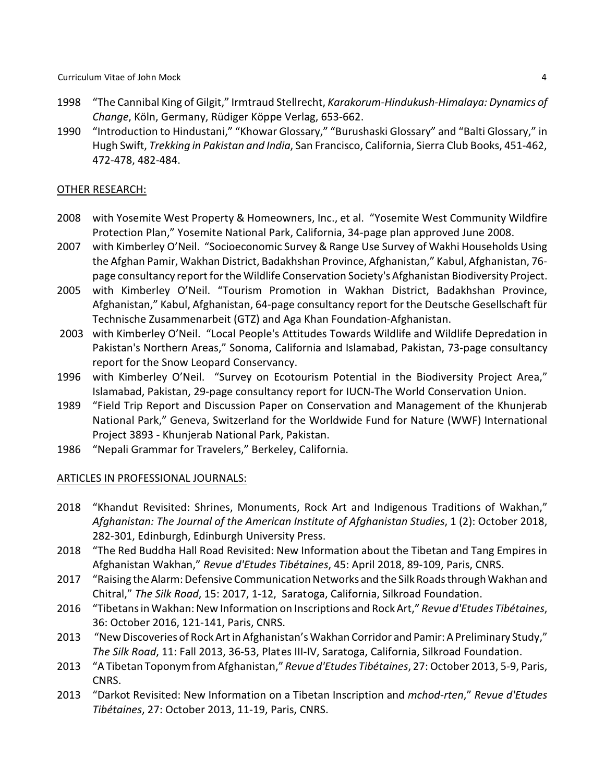- 1998 "The Cannibal King of Gilgit," Irmtraud Stellrecht, *Karakorum-Hindukush-Himalaya: Dynamics of Change*, Köln, Germany, Rüdiger Köppe Verlag, 653-662.
- 1990 "Introduction to Hindustani," "Khowar Glossary," "Burushaski Glossary" and "Balti Glossary," in Hugh Swift, *Trekking in Pakistan and India*, San Francisco, California, Sierra Club Books, 451-462, 472-478, 482-484.

## OTHER RESEARCH:

- 2008 with Yosemite West Property & Homeowners, Inc., et al. "Yosemite West Community Wildfire Protection Plan," Yosemite National Park, California, 34-page plan approved June 2008.
- 2007 with Kimberley O'Neil. "Socioeconomic Survey & Range Use Survey of Wakhi Households Using the Afghan Pamir, Wakhan District, Badakhshan Province, Afghanistan," Kabul, Afghanistan, 76 page consultancy report for the Wildlife Conservation Society's Afghanistan Biodiversity Project.
- 2005 with Kimberley O'Neil. "Tourism Promotion in Wakhan District, Badakhshan Province, Afghanistan," Kabul, Afghanistan, 64-page consultancy report for the Deutsche Gesellschaft für Technische Zusammenarbeit (GTZ) and Aga Khan Foundation-Afghanistan.
- 2003 with Kimberley O'Neil. "Local People's Attitudes Towards Wildlife and Wildlife Depredation in Pakistan's Northern Areas," Sonoma, California and Islamabad, Pakistan, 73-page consultancy report for the Snow Leopard Conservancy.
- 1996 with Kimberley O'Neil. "Survey on Ecotourism Potential in the Biodiversity Project Area," Islamabad, Pakistan, 29-page consultancy report for IUCN-The World Conservation Union.
- 1989 "Field Trip Report and Discussion Paper on Conservation and Management of the Khunjerab National Park," Geneva, Switzerland for the Worldwide Fund for Nature (WWF) International Project 3893 - Khunjerab National Park, Pakistan.
- 1986 "Nepali Grammar for Travelers," Berkeley, California.

## ARTICLES IN PROFESSIONAL JOURNALS:

- 2018 "Khandut Revisited: Shrines, Monuments, Rock Art and Indigenous Traditions of Wakhan," *Afghanistan: The Journal of the American Institute of Afghanistan Studies*, 1 (2): October 2018, 282-301, Edinburgh, Edinburgh University Press.
- 2018 "The Red Buddha Hall Road Revisited: New Information about the Tibetan and Tang Empires in Afghanistan Wakhan," *Revue d'Etudes Tibétaines*, 45: April 2018, 89-109, Paris, CNRS.
- 2017 "Raising the Alarm: Defensive Communication Networks and the Silk Roads through Wakhan and Chitral," *The Silk Road*, 15: 2017, 1-12, Saratoga, California, Silkroad Foundation.
- 2016 "Tibetans in Wakhan: New Information on Inscriptions and RockArt," *Revue d'Etudes Tibétaines*, 36: October 2016, 121-141, Paris, CNRS.
- 2013 "NewDiscoveries of RockArtin Afghanistan's Wakhan Corridor and Pamir: A Preliminary Study," *The Silk Road*, 11: Fall 2013, 36-53, Plates III-IV, Saratoga, California, Silkroad Foundation.
- 2013 "A Tibetan Toponym from Afghanistan," *Revue d'Etudes Tibétaines*, 27: October 2013, 5-9, Paris, CNRS.
- 2013 "Darkot Revisited: New Information on a Tibetan Inscription and *mchod-rten*," *Revue d'Etudes Tibétaines*, 27: October 2013, 11-19, Paris, CNRS.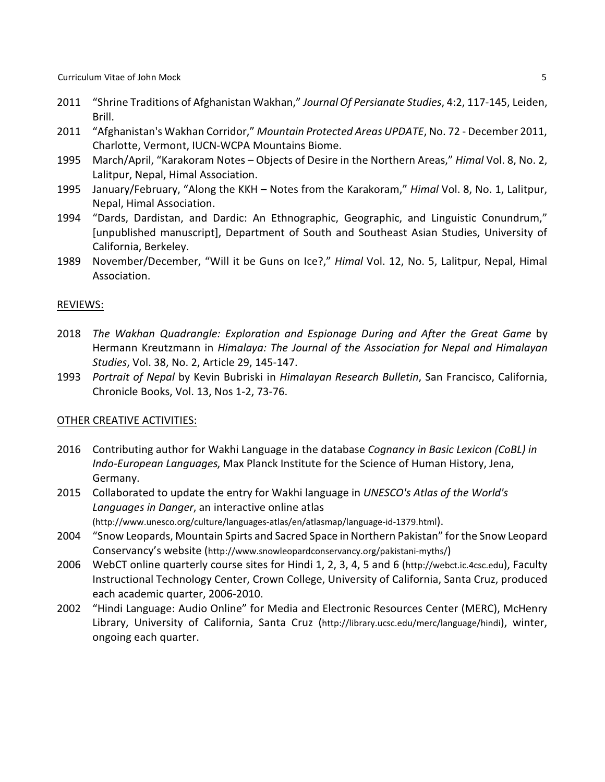- 2011 "Shrine Traditions of Afghanistan Wakhan," *Journal Of Persianate Studies*, 4:2, 117-145, Leiden, Brill.
- 2011 "Afghanistan's Wakhan Corridor," *Mountain Protected Areas UPDATE*, No. 72 December 2011, Charlotte, Vermont, IUCN-WCPA Mountains Biome.
- 1995 March/April, "Karakoram Notes Objects of Desire in the Northern Areas," *Himal* Vol. 8, No. 2, Lalitpur, Nepal, Himal Association.
- 1995 January/February, "Along the KKH Notes from the Karakoram," *Himal* Vol. 8, No. 1, Lalitpur, Nepal, Himal Association.
- 1994 "Dards, Dardistan, and Dardic: An Ethnographic, Geographic, and Linguistic Conundrum," [unpublished manuscript], Department of South and Southeast Asian Studies, University of California, Berkeley.
- 1989 November/December, "Will it be Guns on Ice?," *Himal* Vol. 12, No. 5, Lalitpur, Nepal, Himal Association.

#### REVIEWS:

- 2018 *The Wakhan Quadrangle: Exploration and Espionage During and After the Great Game* by Hermann Kreutzmann in *Himalaya: The Journal of the Association for Nepal and Himalayan Studies*, Vol. 38, No. 2, Article 29, 145-147.
- 1993 *Portrait of Nepal* by Kevin Bubriski in *Himalayan Research Bulletin*, San Francisco, California, Chronicle Books, Vol. 13, Nos 1-2, 73-76.

#### OTHER CREATIVE ACTIVITIES:

- 2016 Contributing author for Wakhi Language in the database *Cognancy in Basic Lexicon (CoBL) in Indo-European Languages*, Max Planck Institute for the Science of Human History, Jena, Germany.
- 2015 Collaborated to update the entry for Wakhi language in *UNESCO's Atlas of the World's Languages in Danger*, an interactive online atlas (http://www.unesco.org/culture/languages-atlas/en/atlasmap/language-id-1379.html).
- 2004 "Snow Leopards, Mountain Spirts and Sacred Space in Northern Pakistan" for the Snow Leopard Conservancy's website (http://www.snowleopardconservancy.org/pakistani-myths/)
- 2006 WebCT online quarterly course sites for Hindi 1, 2, 3, 4, 5 and 6 (http://webct.ic.4csc.edu), Faculty Instructional Technology Center, Crown College, University of California, Santa Cruz, produced each academic quarter, 2006-2010.
- 2002 "Hindi Language: Audio Online" for Media and Electronic Resources Center (MERC), McHenry Library, University of California, Santa Cruz (http://library.ucsc.edu/merc/language/hindi), winter, ongoing each quarter.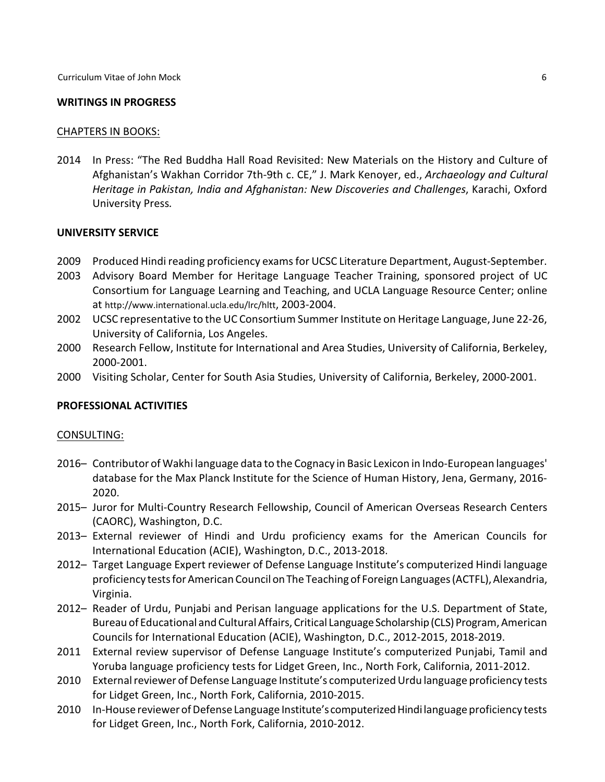#### **WRITINGS IN PROGRESS**

#### CHAPTERS IN BOOKS:

2014 In Press: "The Red Buddha Hall Road Revisited: New Materials on the History and Culture of Afghanistan's Wakhan Corridor 7th-9th c. CE," J. Mark Kenoyer, ed., *Archaeology and Cultural Heritage in Pakistan, India and Afghanistan: New Discoveries and Challenges*, Karachi, Oxford University Press*.*

### **UNIVERSITY SERVICE**

- 2009 Produced Hindi reading proficiency exams for UCSC Literature Department, August-September.
- 2003 Advisory Board Member for Heritage Language Teacher Training, sponsored project of UC Consortium for Language Learning and Teaching, and UCLA Language Resource Center; online at http://www.international.ucla.edu/lrc/hltt, 2003-2004.
- 2002 UCSC representative to the UC Consortium Summer Institute on Heritage Language, June 22-26, University of California, Los Angeles.
- 2000 Research Fellow, Institute for International and Area Studies, University of California, Berkeley, 2000-2001.
- 2000 Visiting Scholar, Center for South Asia Studies, University of California, Berkeley, 2000-2001.

## **PROFESSIONAL ACTIVITIES**

#### CONSULTING:

- 2016– Contributor of Wakhi language data to the Cognacy in Basic Lexicon in Indo-European languages' database for the Max Planck Institute for the Science of Human History, Jena, Germany, 2016- 2020.
- 2015– Juror for Multi-Country Research Fellowship, Council of American Overseas Research Centers (CAORC), Washington, D.C.
- 2013– External reviewer of Hindi and Urdu proficiency exams for the American Councils for International Education (ACIE), Washington, D.C., 2013-2018.
- 2012– Target Language Expert reviewer of Defense Language Institute's computerized Hindi language proficiency tests for American Council onThe Teaching of Foreign Languages (ACTFL), Alexandria, Virginia.
- 2012– Reader of Urdu, Punjabi and Perisan language applications for the U.S. Department of State, Bureau of Educational and Cultural Affairs, Critical Language Scholarship (CLS) Program, American Councils for International Education (ACIE), Washington, D.C., 2012-2015, 2018-2019.
- 2011 External review supervisor of Defense Language Institute's computerized Punjabi, Tamil and Yoruba language proficiency tests for Lidget Green, Inc., North Fork, California, 2011-2012.
- 2010 External reviewer of Defense Language Institute's computerized Urdu language proficiency tests for Lidget Green, Inc., North Fork, California, 2010-2015.
- 2010 In-House reviewer of Defense Language Institute's computerized Hindi language proficiency tests for Lidget Green, Inc., North Fork, California, 2010-2012.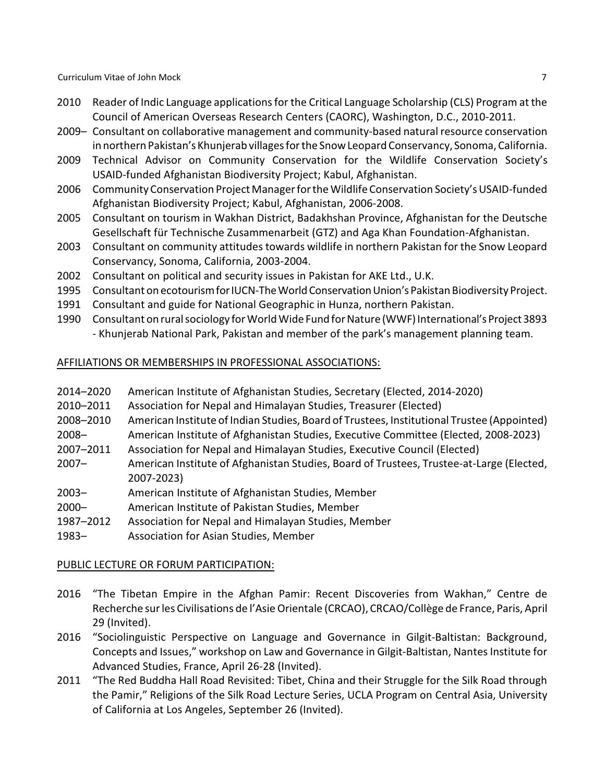- 2010 Reader of Indic Language applications for the Critical Language Scholarship (CLS) Program at the Council of American Overseas Research Centers (CAORC), Washington, D.C., 2010-2011.
- 2009– Consultant on collaborative management and community-based natural resource conservation in northern Pakistan's Khunjerab villages for the Snow Leopard Conservancy, Sonoma, California.
- 2009 Technical Advisor on Community Conservation for the Wildlife Conservation Society's USAID-funded Afghanistan Biodiversity Project; Kabul, Afghanistan.
- 2006 Community Conservation Project Manager for the Wildlife Conservation Society's USAID-funded Afghanistan Biodiversity Project; Kabul, Afghanistan, 2006-2008.
- 2005 Consultant on tourism in Wakhan District, Badakhshan Province, Afghanistan for the Deutsche Gesellschaft für Technische Zusammenarbeit (GTZ) and Aga Khan Foundation-Afghanistan.
- 2003 Consultant on community attitudes towards wildlife in northern Pakistan for the Snow Leopard Conservancy, Sonoma, California, 2003-2004.
- 2002 Consultant on political and security issues in Pakistan for AKE Ltd., U.K.
- 1995 Consultant on ecotourism for IUCN-The World Conservation Union's Pakistan Biodiversity Project.
- 1991 Consultant and guide for National Geographic in Hunza, northern Pakistan.
- 1990 Consultant on rural sociology for World Wide Fund for Nature (WWF) International's Project 3893 - Khunjerab National Park, Pakistan and member of the park's management planning team.

## AFFILIATIONS OR MEMBERSHIPS IN PROFESSIONAL ASSOCIATIONS:

| 2014-2020 | American Institute of Afghanistan Studies, Secretary (Elected, 2014-2020)                  |
|-----------|--------------------------------------------------------------------------------------------|
| 2010-2011 | Association for Nepal and Himalayan Studies, Treasurer (Elected)                           |
| 2008-2010 | American Institute of Indian Studies, Board of Trustees, Institutional Trustee (Appointed) |
| $2008 -$  | American Institute of Afghanistan Studies, Executive Committee (Elected, 2008-2023)        |
| 2007-2011 | Association for Nepal and Himalayan Studies, Executive Council (Elected)                   |
| $2007 -$  | American Institute of Afghanistan Studies, Board of Trustees, Trustee-at-Large (Elected,   |
|           | 2007-2023)                                                                                 |
| $2003 -$  | American Institute of Afghanistan Studies, Member                                          |
| $2000 -$  | American Institute of Pakistan Studies, Member                                             |
| 1987-2012 | Association for Nepal and Himalayan Studies, Member                                        |
| $1983 -$  | Association for Asian Studies, Member                                                      |

## PUBLIC LECTURE OR FORUM PARTICIPATION:

- 2016 "The Tibetan Empire in the Afghan Pamir: Recent Discoveries from Wakhan," Centre de Recherche sur les Civilisations de l'Asie Orientale (CRCAO), CRCAO/Collège de France, Paris, April 29 (Invited).
- 2016 "Sociolinguistic Perspective on Language and Governance in Gilgit-Baltistan: Background, Concepts and Issues," workshop on Law and Governance in Gilgit-Baltistan, Nantes Institute for Advanced Studies, France, April 26-28 (Invited).
- 2011 "The Red Buddha Hall Road Revisited: Tibet, China and their Struggle for the Silk Road through the Pamir," Religions of the Silk Road Lecture Series, UCLA Program on Central Asia, University of California at Los Angeles, September 26 (Invited).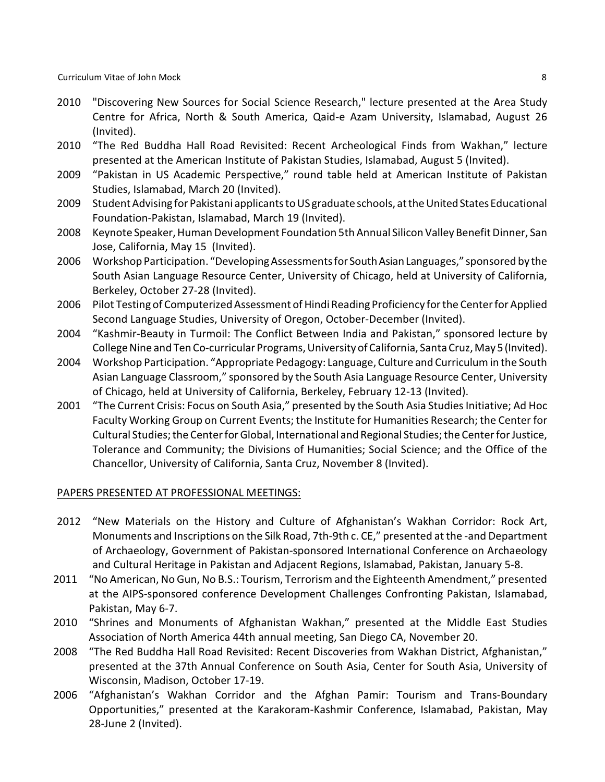Curriculum Vitae of John Mock 8

- 2010 "Discovering New Sources for Social Science Research," lecture presented at the Area Study Centre for Africa, North & South America, Qaid-e Azam University, Islamabad, August 26 (Invited).
- 2010 "The Red Buddha Hall Road Revisited: Recent Archeological Finds from Wakhan," lecture presented at the American Institute of Pakistan Studies, Islamabad, August 5 (Invited).
- 2009 "Pakistan in US Academic Perspective," round table held at American Institute of Pakistan Studies, Islamabad, March 20 (Invited).
- 2009 Student Advising for Pakistani applicants to US graduate schools, at the United States Educational Foundation-Pakistan, Islamabad, March 19 (Invited).
- 2008 Keynote Speaker, Human Development Foundation 5th Annual Silicon Valley Benefit Dinner, San Jose, California, May 15 (Invited).
- 2006 Workshop Participation. "Developing Assessments for South Asian Languages," sponsored by the South Asian Language Resource Center, University of Chicago, held at University of California, Berkeley, October 27-28 (Invited).
- 2006 Pilot Testing of Computerized Assessment of Hindi Reading Proficiency for the Center for Applied Second Language Studies, University of Oregon, October-December (Invited).
- 2004 "Kashmir-Beauty in Turmoil: The Conflict Between India and Pakistan," sponsored lecture by College Nine and Ten Co-curricular Programs, University of California, Santa Cruz, May 5(Invited).
- 2004 Workshop Participation. "Appropriate Pedagogy: Language, Culture and Curriculum in the South Asian Language Classroom," sponsored by the South Asia Language Resource Center, University of Chicago, held at University of California, Berkeley, February 12-13 (Invited).
- 2001 "The Current Crisis: Focus on South Asia," presented by the South Asia Studies Initiative; Ad Hoc Faculty Working Group on Current Events; the Institute for Humanities Research; the Center for Cultural Studies; the Center for Global, International and Regional Studies; the Center for Justice, Tolerance and Community; the Divisions of Humanities; Social Science; and the Office of the Chancellor, University of California, Santa Cruz, November 8 (Invited).

#### PAPERS PRESENTED AT PROFESSIONAL MEETINGS:

- 2012 "New Materials on the History and Culture of Afghanistan's Wakhan Corridor: Rock Art, Monuments and Inscriptions on the Silk Road, 7th-9th c. CE," presented at the -and Department of Archaeology, Government of Pakistan-sponsored International Conference on Archaeology and Cultural Heritage in Pakistan and Adjacent Regions, Islamabad, Pakistan, January 5-8.
- 2011 "No American, No Gun, No B.S.: Tourism, Terrorism and the Eighteenth Amendment," presented at the AIPS-sponsored conference Development Challenges Confronting Pakistan, Islamabad, Pakistan, May 6-7.
- 2010 "Shrines and Monuments of Afghanistan Wakhan," presented at the Middle East Studies Association of North America 44th annual meeting, San Diego CA, November 20.
- 2008 "The Red Buddha Hall Road Revisited: Recent Discoveries from Wakhan District, Afghanistan," presented at the 37th Annual Conference on South Asia, Center for South Asia, University of Wisconsin, Madison, October 17-19.
- 2006 "Afghanistan's Wakhan Corridor and the Afghan Pamir: Tourism and Trans-Boundary Opportunities," presented at the Karakoram-Kashmir Conference, Islamabad, Pakistan, May 28-June 2 (Invited).